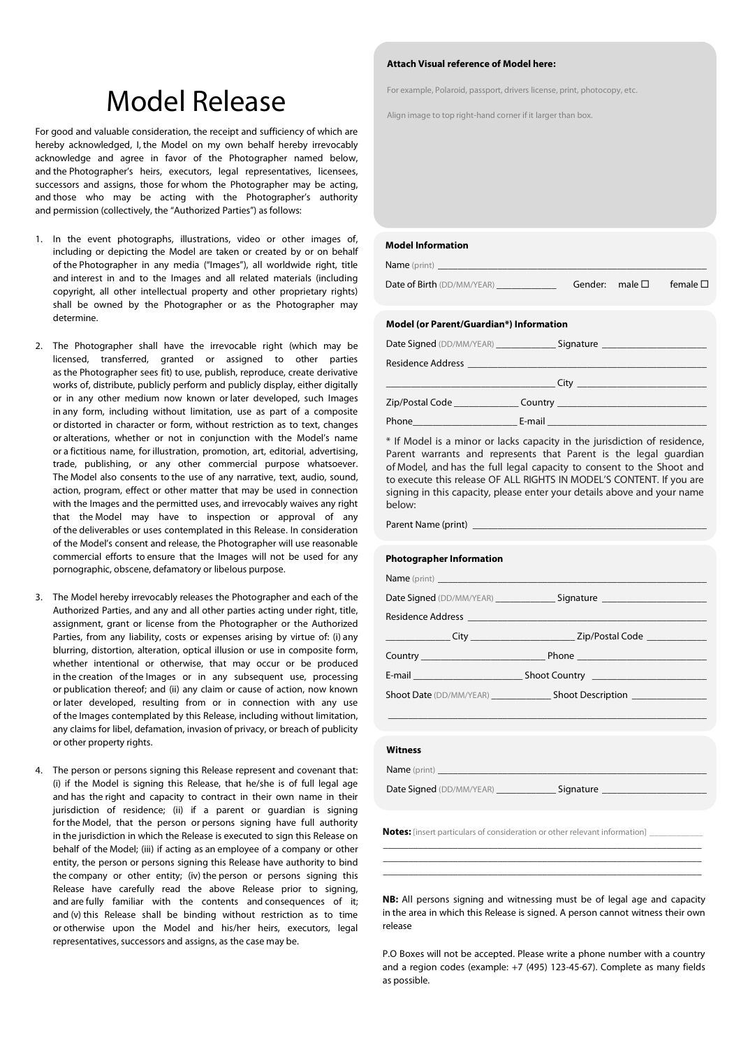## Model Release Sect, drivers license, print, photocopy, etc.

For good and valuable consideration, the receipt and sufficiency of which are hereby acknowledged, I, the Model on my own behalf hereby irrevocably acknowledge and agree in favor of the Photographer named below, and the Photographer's heirs, executors, legal representatives, licensees, successors and assigns, those for whom the Photographer may be acting, and those who may be acting with the Photographer's authority and permission (collectively, the "Authorized Parties") as follows:

- 1. In the event photographs, illustrations, video or other images of, including or depicting the Model are taken or created by or on behalf of the Photographer in any media ("Images"), all worldwide right, title and interest in and to the Images and all related materials (including copyright, all other intellectual property and other proprietary rights) shall be owned by the Photographer or as the Photographer may determine.
- 2. The Photographer shall have the irrevocable right (which may be licensed, transferred, granted or assigned to other parties as the Photographer sees fit) to use, publish, reproduce, create derivative works of, distribute, publicly perform and publicly display, either digitally or in any other medium now known or later developed, such Images in any form, including without limitation, use as part of a composite or distorted in character or form, without restriction as to text, changes or alterations, whether or not in conjunction with the Model's name or a fictitious name, for illustration, promotion, art, editorial, advertising, trade, publishing, or any other commercial purpose whatsoever. The Model also consents to the use of any narrative, text, audio, sound, action, program, effect or other matter that may be used in connection with the Images and the permitted uses, and irrevocably waives any right that the Model may have to inspection or approval of any of the deliverables or uses contemplated in this Release. In consideration of the Model's consent and release, the Photographer will use reasonable commercial efforts to ensure that the Images will not be used for any pornographic, obscene, defamatory or libelous purpose.
- 3. The Model hereby irrevocably releases the Photographer and each of the Authorized Parties, and any and all other parties acting under right, title, assignment, grant or license from the Photographer or the Authorized Parties, from any liability, costs or expenses arising by virtue of: (i) any blurring, distortion, alteration, optical illusion or use in composite form, whether intentional or otherwise, that may occur or be produced in the creation of the Images or in any subsequent use, processing or publication thereof; and (ii) any claim or cause of action, now known or later developed, resulting from or in connection with any use of the Images contemplated by this Release, including without limitation, any claims for libel, defamation, invasion of privacy, or breach of publicity or other property rights.
- 4. The person or persons signing this Release represent and covenant that: (i) if the Model is signing this Release, that he/she is of full legal age and has the right and capacity to contract in their own name in their jurisdiction of residence; (ii) if a parent or guardian is signing for the Model, that the person or persons signing have full authority in the jurisdiction in which the Release is executed to sign this Release on behalf of the Model; (iii) if acting as an employee of a company or other entity, the person or persons signing this Release have authority to bind the company or other entity; (iv) the person or persons signing this Release have carefully read the above Release prior to signing, and are fully familiar with the contents and consequences of it; and (v) this Release shall be binding without restriction as to time or otherwise upon the Model and his/her heirs, executors, legal representatives, successors and assigns, as the case may be.

### **Attach Visual reference of Model here:**

Align image to top right-hand corner if it larger than box.

### **Model Information** Name (print)

Date of Birth (DD/MM/YEAR) \_\_\_\_\_\_\_\_\_\_\_\_\_\_\_\_\_\_\_\_Gender: male  $\square$  female  $\square$ 

### **Model (or Parent/Guardian\*) Information**

Date Signed (DD/MM/YEAR) \_\_\_\_\_\_\_\_\_\_\_\_\_\_\_\_\_\_\_ Signature \_\_\_\_\_\_\_\_\_\_\_\_\_\_\_\_\_\_\_\_\_\_\_\_\_\_  $R$ esidence Add

| esidence Address |  |
|------------------|--|
|------------------|--|

|                 | City    |
|-----------------|---------|
| Zip/Postal Code | Country |
| Phone           | E-mail  |

\* If Model is a minor or lacks capacity in the jurisdiction of residence, Parent warrants and represents that Parent is the legal guardian of Model, and has the full legal capacity to consent to the Shoot and to execute this release OF ALL RIGHTS IN MODEL'S CONTENT. If you are signing in this capacity, please enter your details above and your name below:

Parent Name (print) \_

### **Photographer Information**

| Date Signed (DD/MM/YEAR) _______________Signature ______________________________                                                                                                        |
|-----------------------------------------------------------------------------------------------------------------------------------------------------------------------------------------|
|                                                                                                                                                                                         |
| _________________City ___________________________________Zip/Postal Code ______________                                                                                                 |
| <b>Country Phone</b> Phone <b>Phone Phone Phone Phone Phone Phone Phone Phone Phone Phone Phone Phone Phone Phone Phone Phone Phone Phone Phone Phone Phone Phone Phone Phone Phone</b> |
|                                                                                                                                                                                         |
| Shoot Date (DD/MM/YEAR) Shoot Description                                                                                                                                               |
|                                                                                                                                                                                         |

### **Witness**

Name (print)

Date Signed (DD/MM/YEAR) \_\_\_\_\_\_\_\_\_\_\_\_\_\_\_\_\_\_\_\_\_\_\_Signature

**Notes:** [insert particulars of consideration or other relevant information] \_\_\_\_\_\_\_\_\_\_\_\_

\_\_\_\_\_\_\_\_\_\_\_\_\_\_\_\_\_\_\_\_\_\_\_\_\_\_\_\_\_\_\_\_\_\_\_\_\_\_\_\_\_\_\_\_\_\_\_\_\_\_\_\_\_\_\_\_\_\_\_\_\_\_\_\_ \_\_\_\_\_\_\_\_\_\_\_\_\_\_\_\_\_\_\_\_\_\_\_\_\_\_\_\_\_\_\_\_\_\_\_\_\_\_\_\_\_\_\_\_\_\_\_\_\_\_\_\_\_\_\_\_\_\_\_\_\_\_\_\_ \_\_\_\_\_\_\_\_\_\_\_\_\_\_\_\_\_\_\_\_\_\_\_\_\_\_\_\_\_\_\_\_\_\_\_\_\_\_\_\_\_\_\_\_\_\_\_\_\_\_\_\_\_\_\_\_\_\_\_\_\_\_\_\_

**NB:** All persons signing and witnessing must be of legal age and capacity in the area in which this Release is signed. A person cannot witness their own release

P.O Boxes will not be accepted. Please write a phone number with a country and a region codes (example: +7 (495) 123-45-67). Complete as many fields as possible.